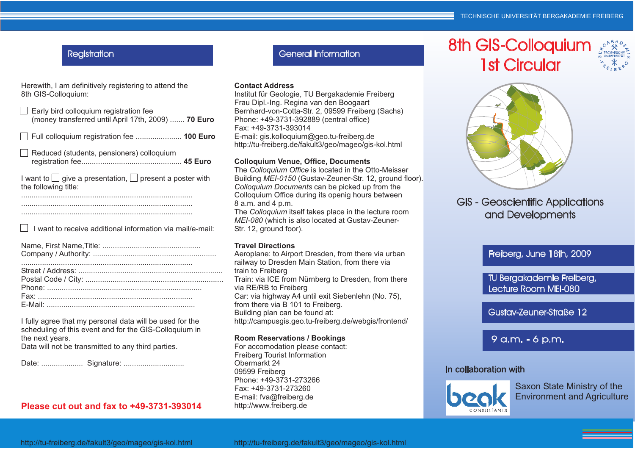# **Registration**

Herewith, I am definitively registering to attend the8th GIS-Colloquium:

| Early bird colloquium registration fee<br>(money transferred until April 17th, 2009)  70 Euro |
|-----------------------------------------------------------------------------------------------|
|                                                                                               |
| Reduced (students, pensioners) colloquium                                                     |
| I want to $\Box$ give a presentation, $\Box$ present a poster with<br>the following title:    |
|                                                                                               |
| I want to receive additional information via mail/e-mail:                                     |

I fully agree that my personal data will be used for the scheduling of this event and for the GIS-Colloquium inthe next years.Data will not be transmitted to any third parties.

### **Please cut out and fax to +49-3731-393014**

General Information

#### **Contact Address**

 Institut für Geologie, TU Bergakademie FreibergFrau Dipl.-Ing. Regina van den Boogaart Bernhard-von-Cotta-Str. 2, 09599 Freiberg (Sachs)Phone: +49-3731-392889 (central office)Fax: +49-3731-393014 E-mail: gis.kolloquium@geo.tu-freiberg.dehttp://tu-freiberg.de/fakult3/geo/mageo/gis-kol.html

#### **Colloquium Venue, Office, Documents**

The *Colloquium Office* is located in the Otto-Meisser Building *MEI-0150* (Gustav-Zeuner-Str. 12, ground floor). *Colloquium Documents* can be picked up from the Colloquium Office during its openig hours between 8 a.m. and 4 p.m.

The Colloquium itself takes place in the lecture room *MEI-080* (which is also located at Gustav-Zeuner-Str. 12, ground foor).

#### **Travel Directions**

Aeroplane: to Airport Dresden, from there via urban railway to Dresden Main Station, from there viatrain to Freiberg Train: via ICE from Nürnberg to Dresden, from therevia RE/RB to Freiberg Car: via highway A4 until exit Siebenlehn (No. 75), from there via B 101 to Freiberg.Building plan can be found at:http://campusgis.geo.tu-freiberg.de/webgis/frontend/

#### **Room Reservations / Bookings**

For accomodation please contact: Freiberg Tourist InformationObermarkt 24 09599 Freiberg Phone: +49-3731-273266Fax: +49-3731-273260 E-mail: fva@freiberg.dehttp://www.freiberg.de

# 8th GIS-Colloquium1st Circular





# GIS - Geoscientific Applicationsand Developments

# Freiberg, June 18th, 2009

TU Bergakademie Freiberg,Lecture Room MEI-080

Gustav-Zeuner-Straße 12

9 a.m. - 6 p.m.

### In collaboration with



Saxon State Ministry of theEnvironment and Agriculture